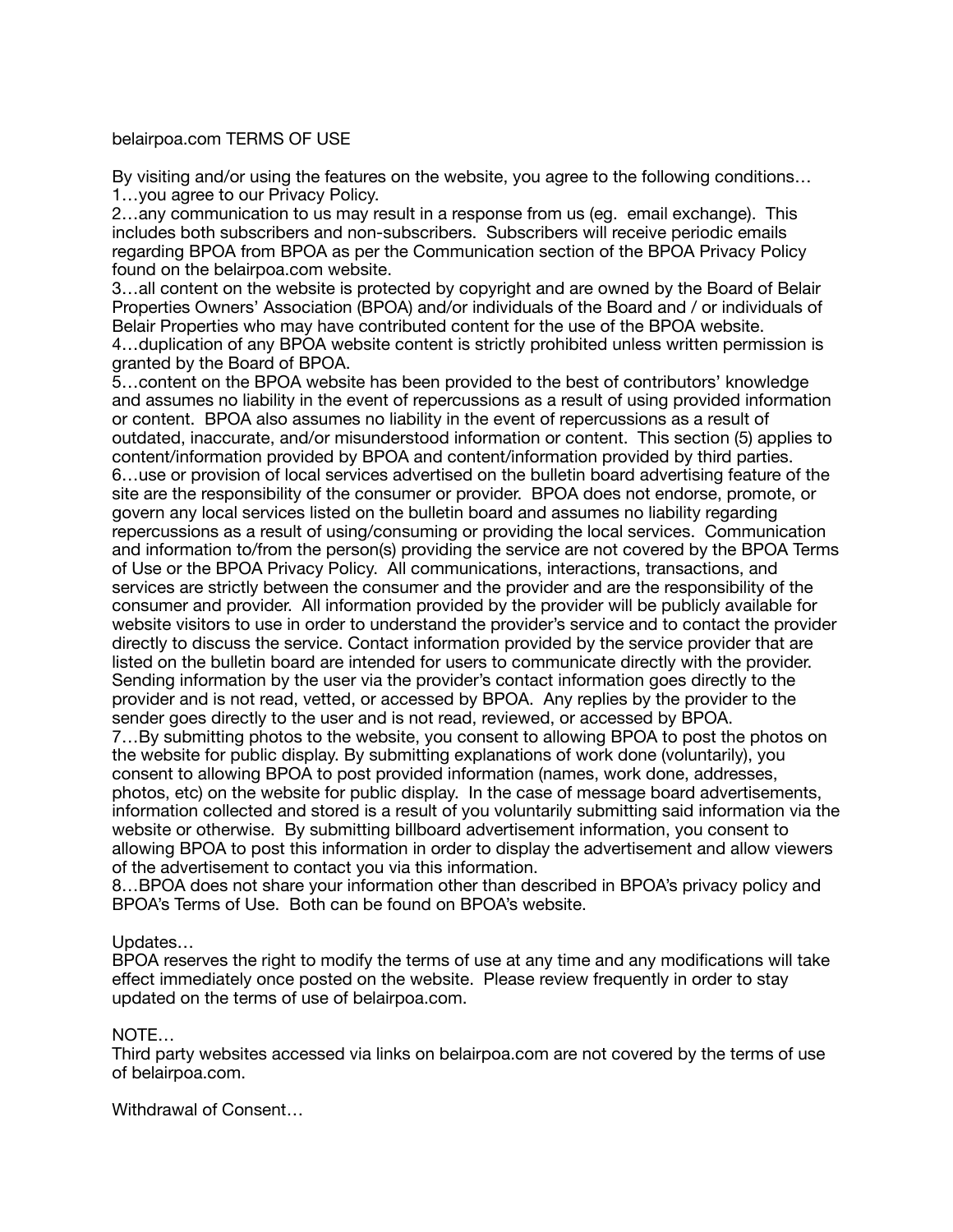## belairpoa.com TERMS OF USE

By visiting and/or using the features on the website, you agree to the following conditions… 1…you agree to our Privacy Policy.

2…any communication to us may result in a response from us (eg. email exchange). This includes both subscribers and non-subscribers. Subscribers will receive periodic emails regarding BPOA from BPOA as per the Communication section of the BPOA Privacy Policy found on the belairpoa.com website.

3…all content on the website is protected by copyright and are owned by the Board of Belair Properties Owners' Association (BPOA) and/or individuals of the Board and / or individuals of Belair Properties who may have contributed content for the use of the BPOA website. 4…duplication of any BPOA website content is strictly prohibited unless written permission is granted by the Board of BPOA.

5…content on the BPOA website has been provided to the best of contributors' knowledge and assumes no liability in the event of repercussions as a result of using provided information or content. BPOA also assumes no liability in the event of repercussions as a result of outdated, inaccurate, and/or misunderstood information or content. This section (5) applies to content/information provided by BPOA and content/information provided by third parties. 6…use or provision of local services advertised on the bulletin board advertising feature of the site are the responsibility of the consumer or provider. BPOA does not endorse, promote, or govern any local services listed on the bulletin board and assumes no liability regarding repercussions as a result of using/consuming or providing the local services. Communication and information to/from the person(s) providing the service are not covered by the BPOA Terms of Use or the BPOA Privacy Policy. All communications, interactions, transactions, and services are strictly between the consumer and the provider and are the responsibility of the consumer and provider. All information provided by the provider will be publicly available for website visitors to use in order to understand the provider's service and to contact the provider directly to discuss the service. Contact information provided by the service provider that are listed on the bulletin board are intended for users to communicate directly with the provider. Sending information by the user via the provider's contact information goes directly to the provider and is not read, vetted, or accessed by BPOA. Any replies by the provider to the sender goes directly to the user and is not read, reviewed, or accessed by BPOA. 7…By submitting photos to the website, you consent to allowing BPOA to post the photos on the website for public display. By submitting explanations of work done (voluntarily), you consent to allowing BPOA to post provided information (names, work done, addresses, photos, etc) on the website for public display. In the case of message board advertisements, information collected and stored is a result of you voluntarily submitting said information via the website or otherwise. By submitting billboard advertisement information, you consent to allowing BPOA to post this information in order to display the advertisement and allow viewers of the advertisement to contact you via this information.

8…BPOA does not share your information other than described in BPOA's privacy policy and BPOA's Terms of Use. Both can be found on BPOA's website.

## Updates…

BPOA reserves the right to modify the terms of use at any time and any modifications will take effect immediately once posted on the website. Please review frequently in order to stay updated on the terms of use of belairpoa.com.

## NOTE…

Third party websites accessed via links on belairpoa.com are not covered by the terms of use of belairpoa.com.

Withdrawal of Consent…